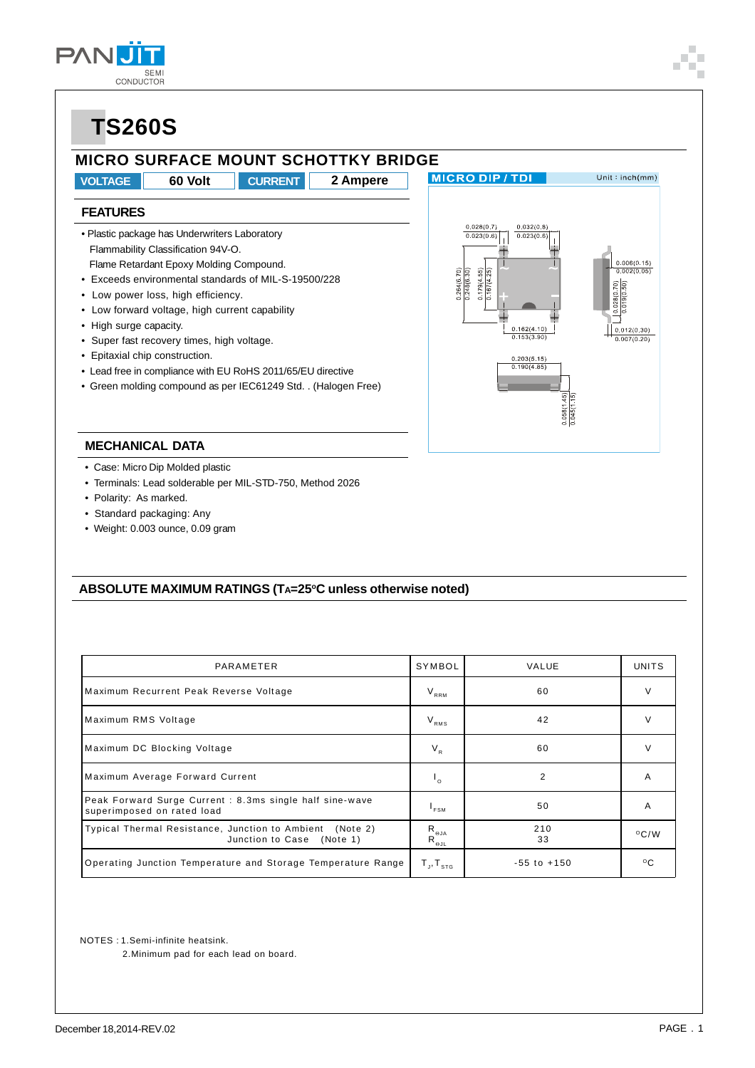#### **MICRO SURFACE MOUNT SCHOTTKY BRIDGE**

**VOLTAGE 60 Volt CURRENT 2 Ampere**

#### **MICRO DIP/TDI**

 $0.028(0.7)$ 

 $0.023(0.6)$ 

 $179(4.55)$ 

 $0.032(0.8)$ 

 $0.023(0.$ 

 $0.162(4.10)$  $0.153(3.90)$ 

 $\frac{0.203(5.15)}{0.190(4.85)}$ 

Unit: $inch(mm)$ 

 $0.006(0.15)$ 

### **FEATURES**

- Plastic package has Underwriters Laboratory Flammability Classification 94V-O. Flame Retardant Epoxy Molding Compound.
- Exceeds environmental standards of MIL-S-19500/228
- Low power loss, high efficiency.
- Low forward voltage, high current capability
- High surge capacity.
- Super fast recovery times, high voltage.
- Epitaxial chip construction.
- Lead free in compliance with EU RoHS 2011/65/EU directive
- Green molding compound as per IEC61249 Std. . (Halogen Free)



- Case: Micro Dip Molded plastic
- Terminals: Lead solderable per MIL-STD-750, Method 2026
- Polarity: As marked.
- Standard packaging: Any
- Weight: 0.003 ounce, 0.09 gram

#### ABSOLUTE MAXIMUM RATINGS (TA=25°C unless otherwise noted)

| PARAMETER                                                                             | SYMBOL                                                                    | VALUE           | UNITS              |
|---------------------------------------------------------------------------------------|---------------------------------------------------------------------------|-----------------|--------------------|
| Maximum Recurrent Peak Reverse Voltage                                                | $V_{RRM}$                                                                 | 60              | v                  |
| Maximum RMS Voltage                                                                   | $V_{RMS}$                                                                 | 42              | V                  |
| Maximum DC Blocking Voltage                                                           | $V_R$                                                                     | 60              | V                  |
| Maximum Average Forward Current                                                       | ۱.                                                                        | 2               | A                  |
| Peak Forward Surge Current: 8.3ms single half sine-wave<br>superimposed on rated load | $I_{FSM}$                                                                 | 50              | A                  |
| Typical Thermal Resistance, Junction to Ambient (Note 2)<br>Junction to Case (Note 1) | $\mathsf{R}_{_{\Theta \mathsf{JA}}}$<br>$\mathsf{R}_{_\Theta\mathsf{JL}}$ | 210<br>33       | $\rm ^{\circ}$ C/W |
| Operating Junction Temperature and Storage Temperature Range                          | $T_{\sf J}, T_{\sf s \tau \sf g}$                                         | $-55$ to $+150$ | $^{\circ}$ C       |

NOTES : 1.Semi-infinite heatsink.

2.Minimum pad for each lead on board.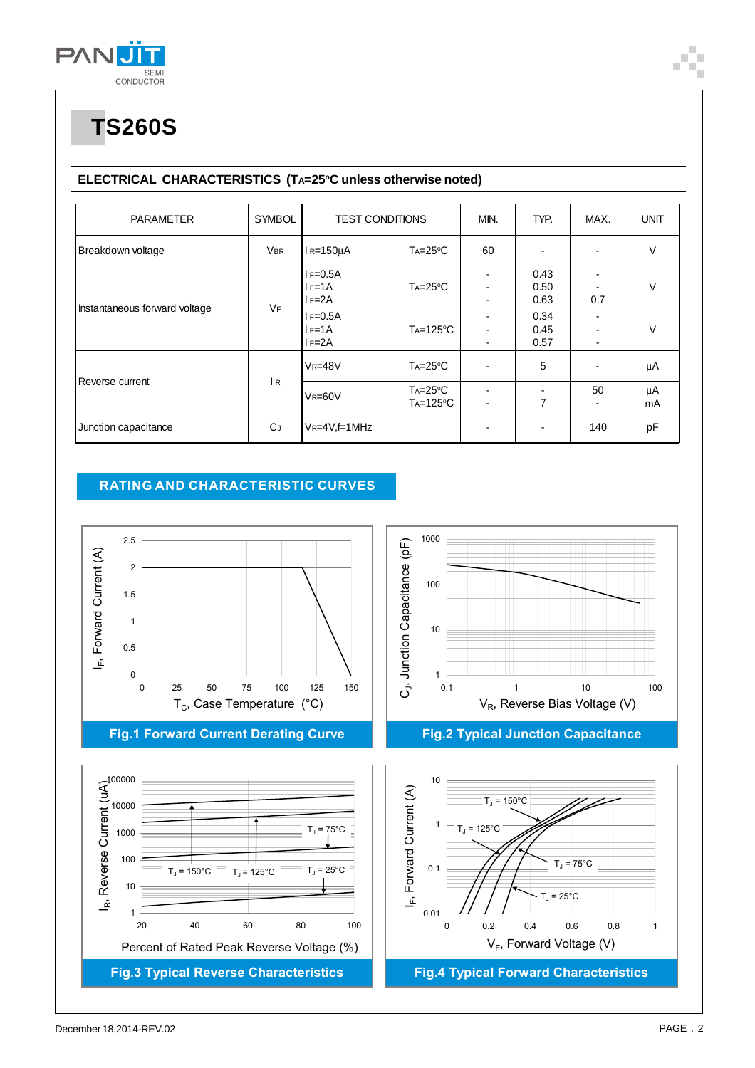

#### ELECTRICAL CHARACTERISTICS (TA=25°C unless otherwise noted)

| <b>PARAMETER</b>              | <b>SYMBOL</b> | <b>TEST CONDITIONS</b>                                                  |                                       | MIN. | TYP.                                         | MAX.                                              | <b>UNIT</b> |
|-------------------------------|---------------|-------------------------------------------------------------------------|---------------------------------------|------|----------------------------------------------|---------------------------------------------------|-------------|
| Breakdown voltage             | <b>VBR</b>    | $I_R = 150 \mu A$                                                       | $Ta=25^{\circ}C$                      | 60   |                                              | $\blacksquare$                                    | V           |
| Instantaneous forward voltage | <b>VF</b>     | $I = 0.5A$<br>$IF=1A$<br>$I = 2A$<br>$I = 0.5A$<br>$I = 1A$<br>$I = 2A$ | $Ta=25^{\circ}C$<br>$Ta=125^{\circ}C$ | ۰    | 0.43<br>0.50<br>0.63<br>0.34<br>0.45<br>0.57 | 0.7<br>$\blacksquare$<br>$\overline{\phantom{a}}$ | V<br>V      |
| Reverse current               | R             | $V_R = 48V$                                                             | $Ta=25^{\circ}C$                      |      | 5                                            | $\overline{\phantom{a}}$                          | μA          |
|                               |               | $V_R = 60V$                                                             | $Ta=25^{\circ}C$<br>$Ta=125^{\circ}C$ | ٠    | 7                                            | 50<br>٠                                           | μA<br>mA    |
| Junction capacitance          | <b>C</b> J    | $V_R = 4V_f = 1MHz$                                                     |                                       |      |                                              | 140                                               | pF          |

#### **RATING AND CHARACTERISTIC CURVES**

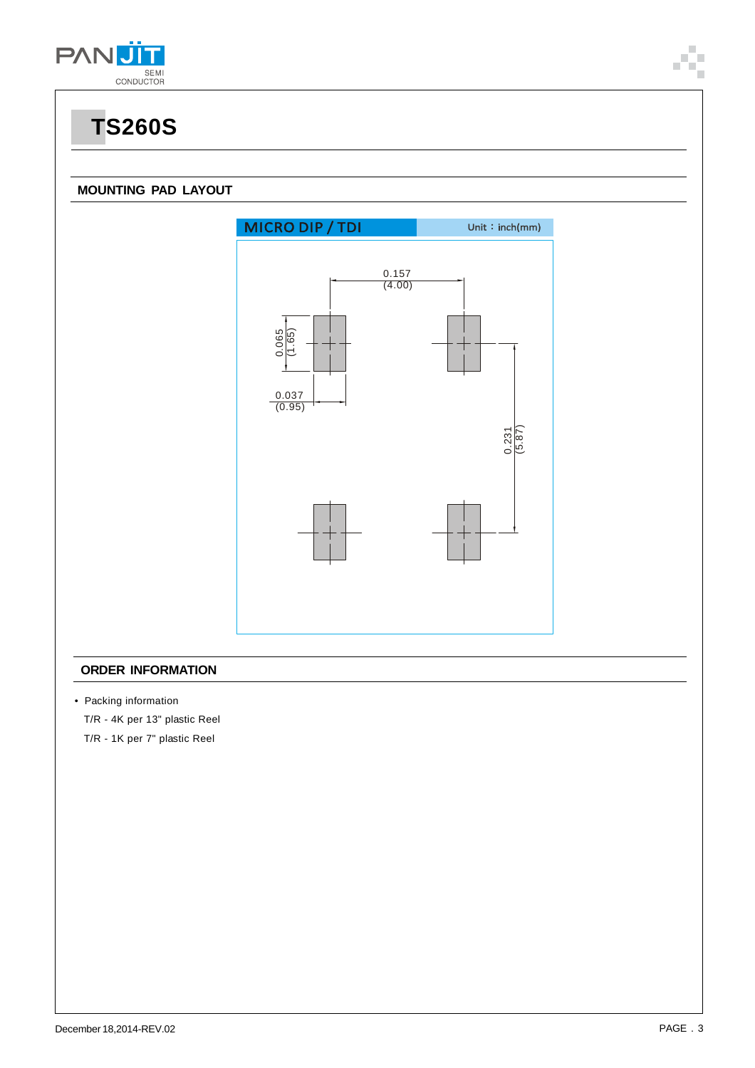

#### **MOUNTING PAD LAYOUT**



#### **ORDER INFORMATION**

• Packing information

T/R - 4K per 13" plastic Reel

T/R - 1K per 7" plastic Reel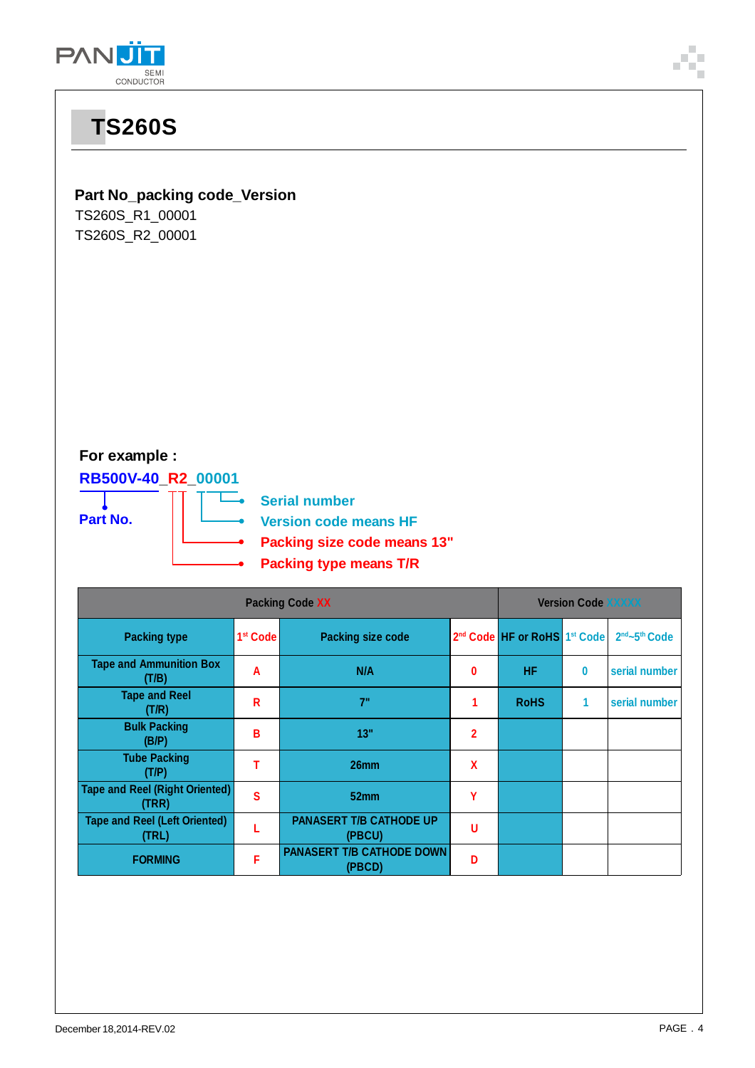



| <b>Packing type</b>                            | 1 <sup>st</sup> Code | <b>Packing size code</b>                   |              | 2 <sup>nd</sup> Code HF or RoHS 1 <sup>st</sup> Code |   | 2nd~5th Code  |
|------------------------------------------------|----------------------|--------------------------------------------|--------------|------------------------------------------------------|---|---------------|
| <b>Tape and Ammunition Box</b><br>(T/B)        | Α                    | N/A                                        | 0            | <b>HF</b>                                            | 0 | serial number |
| <b>Tape and Reel</b><br>(T/R)                  | R                    | 7"                                         | 1            | <b>RoHS</b>                                          | 1 | serial number |
| <b>Bulk Packing</b><br>(B/P)                   | В                    | 13"                                        | $\mathbf{2}$ |                                                      |   |               |
| <b>Tube Packing</b><br>(T/P)                   |                      | 26 <sub>mm</sub>                           | X            |                                                      |   |               |
| <b>Tape and Reel (Right Oriented)</b><br>(TRR) | S                    | 52mm                                       | Υ            |                                                      |   |               |
| <b>Tape and Reel (Left Oriented)</b><br>(TRL)  |                      | <b>PANASERT T/B CATHODE UP</b><br>(PBCU)   | u            |                                                      |   |               |
| <b>FORMING</b>                                 | F                    | <b>PANASERT T/B CATHODE DOWN</b><br>(PBCD) | D            |                                                      |   |               |